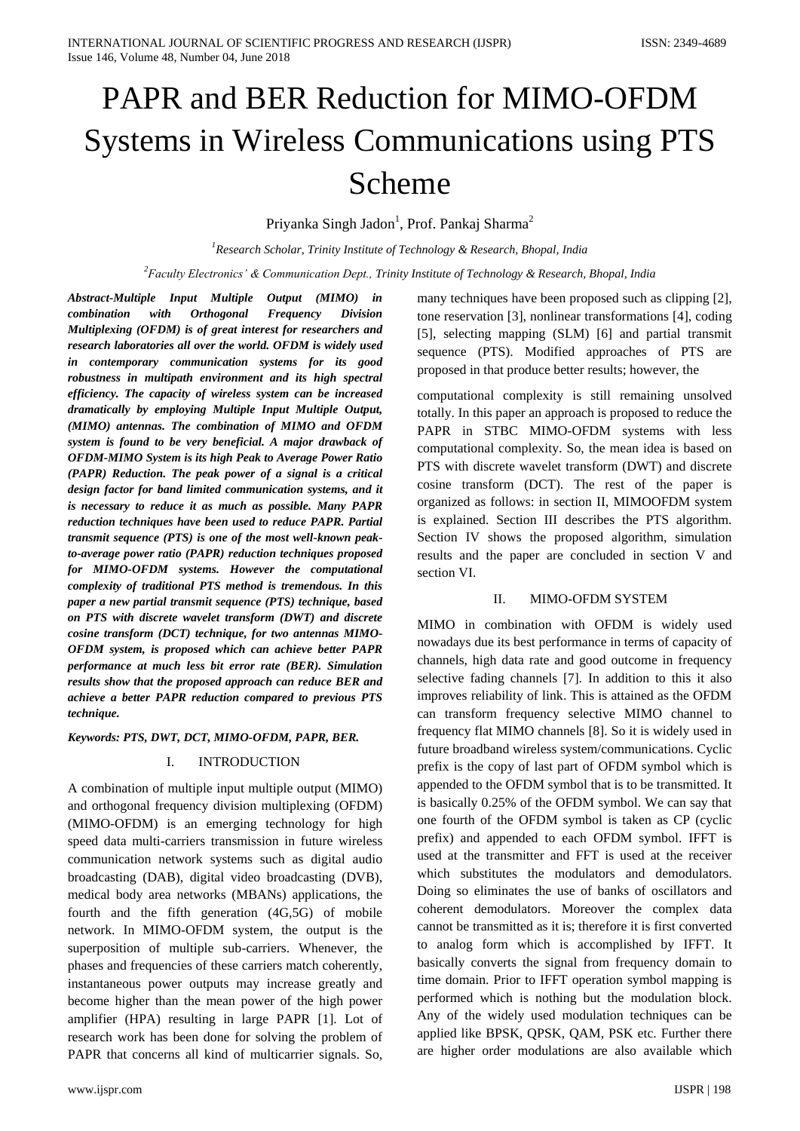# PAPR and BER Reduction for MIMO-OFDM Systems in Wireless Communications using PTS Scheme

Priyanka Singh Jadon<sup>1</sup>, Prof. Pankaj Sharma<sup>2</sup>

*<sup>1</sup>Research Scholar, Trinity Institute of Technology & Research, Bhopal, India*

*<sup>2</sup>Faculty Electronics' & Communication Dept., Trinity Institute of Technology & Research, Bhopal, India*

*Abstract-Multiple Input Multiple Output (MIMO) in combination with Orthogonal Frequency Division Multiplexing (OFDM) is of great interest for researchers and research laboratories all over the world. OFDM is widely used in contemporary communication systems for its good robustness in multipath environment and its high spectral efficiency. The capacity of wireless system can be increased dramatically by employing Multiple Input Multiple Output, (MIMO) antennas. The combination of MIMO and OFDM system is found to be very beneficial. A major drawback of OFDM-MIMO System is its high Peak to Average Power Ratio (PAPR) Reduction. The peak power of a signal is a critical design factor for band limited communication systems, and it is necessary to reduce it as much as possible. Many PAPR reduction techniques have been used to reduce PAPR. Partial transmit sequence (PTS) is one of the most well-known peakto-average power ratio (PAPR) reduction techniques proposed for MIMO-OFDM systems. However the computational complexity of traditional PTS method is tremendous. In this paper a new partial transmit sequence (PTS) technique, based on PTS with discrete wavelet transform (DWT) and discrete cosine transform (DCT) technique, for two antennas MIMO-OFDM system, is proposed which can achieve better PAPR performance at much less bit error rate (BER). Simulation results show that the proposed approach can reduce BER and achieve a better PAPR reduction compared to previous PTS technique.*

*Keywords: PTS, DWT, DCT, MIMO-OFDM, PAPR, BER.*

### I. INTRODUCTION

A combination of multiple input multiple output (MIMO) and orthogonal frequency division multiplexing (OFDM) (MIMO-OFDM) is an emerging technology for high speed data multi-carriers transmission in future wireless communication network systems such as digital audio broadcasting (DAB), digital video broadcasting (DVB), medical body area networks (MBANs) applications, the fourth and the fifth generation (4G,5G) of mobile network. In MIMO-OFDM system, the output is the superposition of multiple sub-carriers. Whenever, the phases and frequencies of these carriers match coherently, instantaneous power outputs may increase greatly and become higher than the mean power of the high power amplifier (HPA) resulting in large PAPR [1]. Lot of research work has been done for solving the problem of PAPR that concerns all kind of multicarrier signals. So,

many techniques have been proposed such as clipping [2], tone reservation [3], nonlinear transformations [4], coding [5], selecting mapping (SLM) [6] and partial transmit sequence (PTS). Modified approaches of PTS are proposed in that produce better results; however, the

computational complexity is still remaining unsolved totally. In this paper an approach is proposed to reduce the PAPR in STBC MIMO-OFDM systems with less computational complexity. So, the mean idea is based on PTS with discrete wavelet transform (DWT) and discrete cosine transform (DCT). The rest of the paper is organized as follows: in section II, MIMOOFDM system is explained. Section III describes the PTS algorithm. Section IV shows the proposed algorithm, simulation results and the paper are concluded in section V and section VI.

# II. MIMO-OFDM SYSTEM

MIMO in combination with OFDM is widely used nowadays due its best performance in terms of capacity of channels, high data rate and good outcome in frequency selective fading channels [7]. In addition to this it also improves reliability of link. This is attained as the OFDM can transform frequency selective MIMO channel to frequency flat MIMO channels [8]. So it is widely used in future broadband wireless system/communications. Cyclic prefix is the copy of last part of OFDM symbol which is appended to the OFDM symbol that is to be transmitted. It is basically 0.25% of the OFDM symbol. We can say that one fourth of the OFDM symbol is taken as CP (cyclic prefix) and appended to each OFDM symbol. IFFT is used at the transmitter and FFT is used at the receiver which substitutes the modulators and demodulators. Doing so eliminates the use of banks of oscillators and coherent demodulators. Moreover the complex data cannot be transmitted as it is; therefore it is first converted to analog form which is accomplished by IFFT. It basically converts the signal from frequency domain to time domain. Prior to IFFT operation symbol mapping is performed which is nothing but the modulation block. Any of the widely used modulation techniques can be applied like BPSK, QPSK, QAM, PSK etc. Further there are higher order modulations are also available which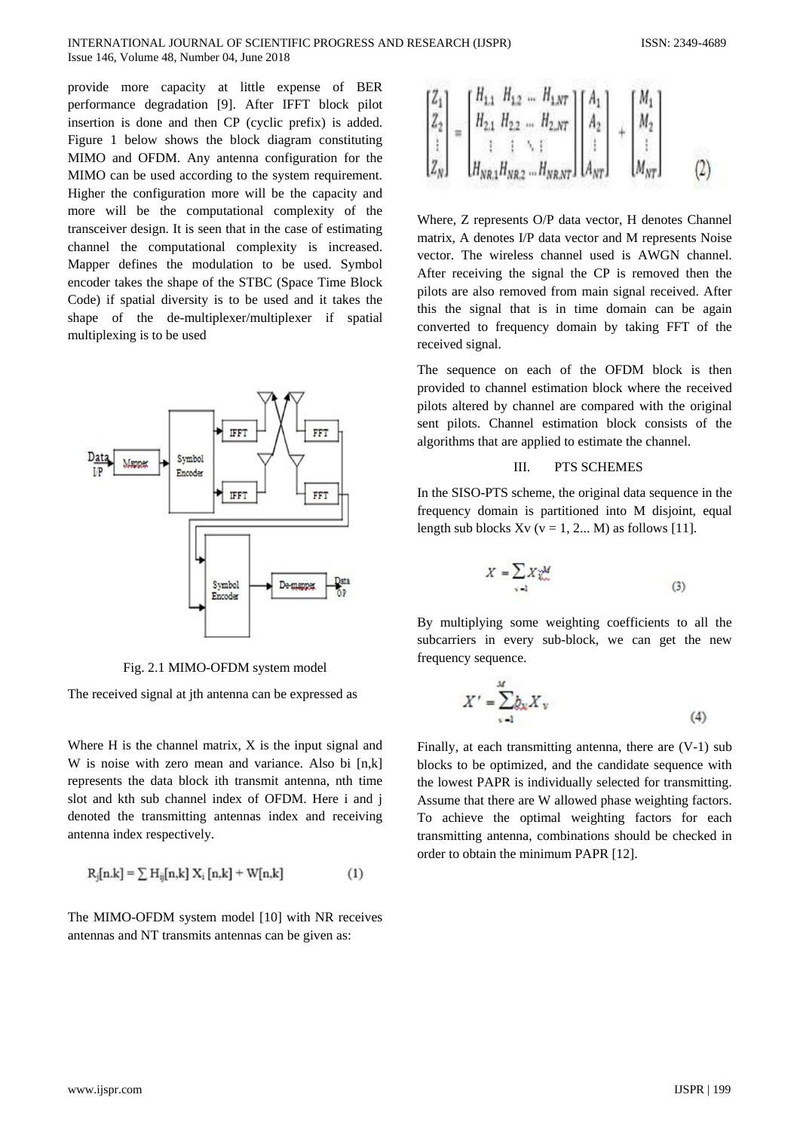provide more capacity at little expense of BER performance degradation [9]. After IFFT block pilot insertion is done and then CP (cyclic prefix) is added. Figure 1 below shows the block diagram constituting MIMO and OFDM. Any antenna configuration for the MIMO can be used according to the system requirement. Higher the configuration more will be the capacity and more will be the computational complexity of the transceiver design. It is seen that in the case of estimating channel the computational complexity is increased. Mapper defines the modulation to be used. Symbol encoder takes the shape of the STBC (Space Time Block Code) if spatial diversity is to be used and it takes the shape of the de-multiplexer/multiplexer if spatial multiplexing is to be used



Fig. 2.1 MIMO-OFDM system model

The received signal at ith antenna can be expressed as

Where H is the channel matrix, X is the input signal and W is noise with zero mean and variance. Also bi [n,k] represents the data block ith transmit antenna, nth time slot and kth sub channel index of OFDM. Here i and j denoted the transmitting antennas index and receiving antenna index respectively.

$$
R_{j}[n.k] = \sum H_{ij}[n,k] X_{i}[n,k] + W[n,k]
$$
 (1)

The MIMO-OFDM system model [10] with NR receives antennas and NT transmits antennas can be given as:

$$
\begin{bmatrix} Z_1 \\ Z_2 \\ \vdots \\ Z_N \end{bmatrix} = \begin{bmatrix} H_{1,1} & H_{1,2} & \dots & H_{1,NT} \\ H_{2,1} & H_{2,2} & \dots & H_{2,NT} \\ \vdots & \vdots & \ddots & \vdots \\ H_{NR,1}H_{NR,2} & \dots & H_{NR,NT} \end{bmatrix} \begin{bmatrix} A_1 \\ A_2 \\ \vdots \\ A_{NT} \end{bmatrix} + \begin{bmatrix} M_1 \\ M_2 \\ \vdots \\ M_{NT} \end{bmatrix}
$$
 (2)

24

\$500 \$550 500

Where, Z represents O/P data vector, H denotes Channel matrix, A denotes I/P data vector and M represents Noise vector. The wireless channel used is AWGN channel. After receiving the signal the CP is removed then the pilots are also removed from main signal received. After this the signal that is in time domain can be again converted to frequency domain by taking FFT of the received signal.

The sequence on each of the OFDM block is then provided to channel estimation block where the received pilots altered by channel are compared with the original sent pilots. Channel estimation block consists of the algorithms that are applied to estimate the channel.

#### III. PTS SCHEMES

In the SISO-PTS scheme, the original data sequence in the frequency domain is partitioned into M disjoint, equal length sub blocks  $Xv$  ( $v = 1, 2...$  M) as follows [11].

$$
X = \sum_{v=1} X_{v}^{vM} \tag{3}
$$

By multiplying some weighting coefficients to all the subcarriers in every sub-block, we can get the new frequency sequence.

$$
X' = \sum_{v=1}^{M} b_v X_v
$$
 (4)

Finally, at each transmitting antenna, there are (V-1) sub blocks to be optimized, and the candidate sequence with the lowest PAPR is individually selected for transmitting. Assume that there are W allowed phase weighting factors. To achieve the optimal weighting factors for each transmitting antenna, combinations should be checked in order to obtain the minimum PAPR [12].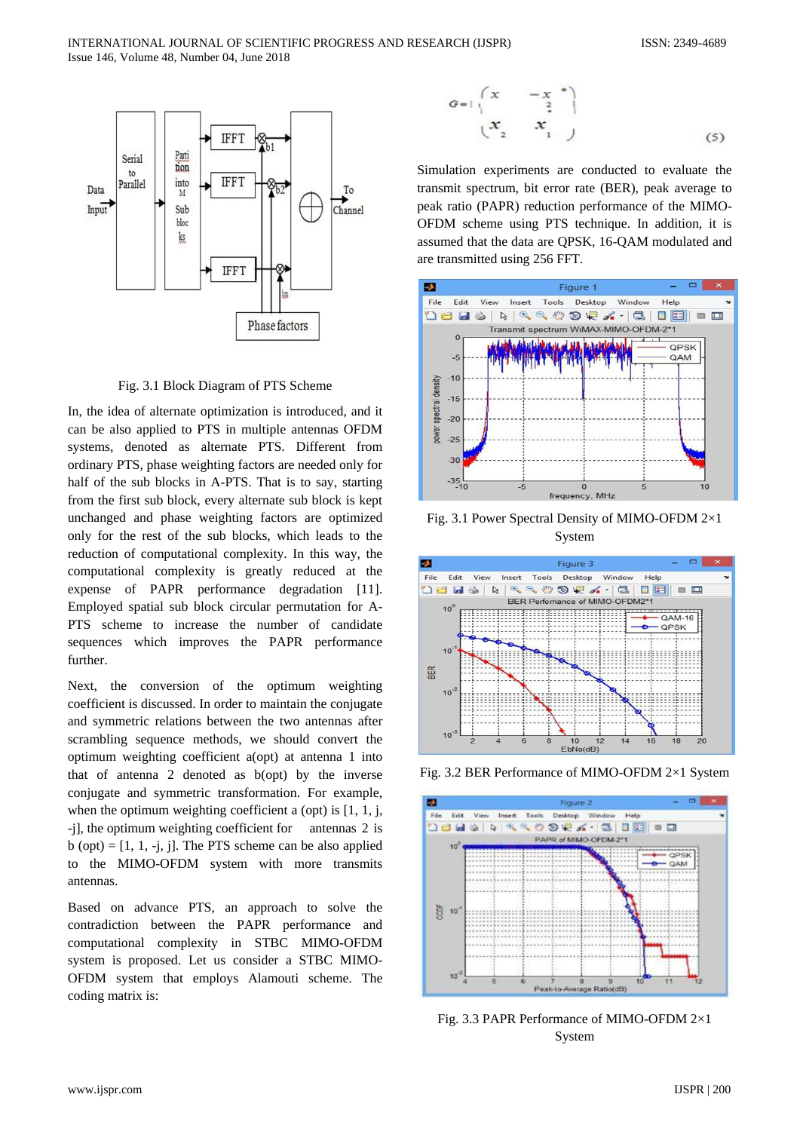

Fig. 3.1 Block Diagram of PTS Scheme

In, the idea of alternate optimization is introduced, and it can be also applied to PTS in multiple antennas OFDM systems, denoted as alternate PTS. Different from ordinary PTS, phase weighting factors are needed only for half of the sub blocks in A-PTS. That is to say, starting from the first sub block, every alternate sub block is kept unchanged and phase weighting factors are optimized only for the rest of the sub blocks, which leads to the reduction of computational complexity. In this way, the computational complexity is greatly reduced at the expense of PAPR performance degradation [11]. Employed spatial sub block circular permutation for A-PTS scheme to increase the number of candidate sequences which improves the PAPR performance further.

Next, the conversion of the optimum weighting coefficient is discussed. In order to maintain the conjugate and symmetric relations between the two antennas after scrambling sequence methods, we should convert the optimum weighting coefficient a(opt) at antenna 1 into that of antenna 2 denoted as b(opt) by the inverse conjugate and symmetric transformation. For example, when the optimum weighting coefficient a (opt) is  $[1, 1, j, j]$ -j], the optimum weighting coefficient for antennas 2 is  $b$  (opt) = [1, 1, -j, j]. The PTS scheme can be also applied to the MIMO-OFDM system with more transmits antennas.

Based on advance PTS, an approach to solve the contradiction between the PAPR performance and computational complexity in STBC MIMO-OFDM system is proposed. Let us consider a STBC MIMO-OFDM system that employs Alamouti scheme. The coding matrix is:

$$
G = | \begin{pmatrix} x & -x & * \\ 2 & x & 1 \\ x & x & 1 \end{pmatrix}
$$
 (5)

Simulation experiments are conducted to evaluate the transmit spectrum, bit error rate (BER), peak average to peak ratio (PAPR) reduction performance of the MIMO-OFDM scheme using PTS technique. In addition, it is assumed that the data are QPSK, 16-QAM modulated and are transmitted using 256 FFT.



Fig. 3.1 Power Spectral Density of MIMO-OFDM 2×1 System



Fig. 3.2 BER Performance of MIMO-OFDM 2×1 System



Fig. 3.3 PAPR Performance of MIMO-OFDM 2×1 System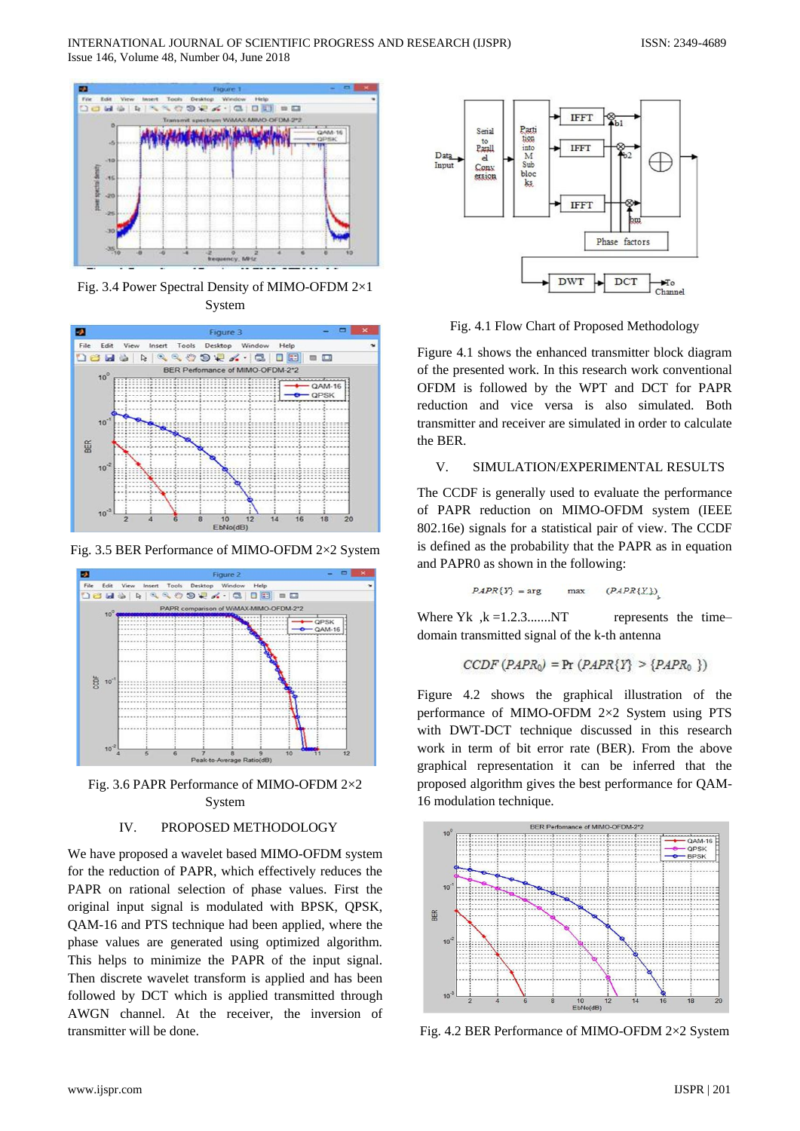

Fig. 3.4 Power Spectral Density of MIMO-OFDM 2×1 System



Fig. 3.5 BER Performance of MIMO-OFDM 2×2 System



Fig. 3.6 PAPR Performance of MIMO-OFDM 2×2 System

## IV. PROPOSED METHODOLOGY

We have proposed a wavelet based MIMO-OFDM system for the reduction of PAPR, which effectively reduces the PAPR on rational selection of phase values. First the original input signal is modulated with BPSK, QPSK, QAM-16 and PTS technique had been applied, where the phase values are generated using optimized algorithm. This helps to minimize the PAPR of the input signal. Then discrete wavelet transform is applied and has been followed by DCT which is applied transmitted through AWGN channel. At the receiver, the inversion of transmitter will be done.



Fig. 4.1 Flow Chart of Proposed Methodology

Figure 4.1 shows the enhanced transmitter block diagram of the presented work. In this research work conventional OFDM is followed by the WPT and DCT for PAPR reduction and vice versa is also simulated. Both transmitter and receiver are simulated in order to calculate the BER.

## V. SIMULATION/EXPERIMENTAL RESULTS

The CCDF is generally used to evaluate the performance of PAPR reduction on MIMO-OFDM system (IEEE 802.16e) signals for a statistical pair of view. The CCDF is defined as the probability that the PAPR as in equation and PAPR0 as shown in the following:

$$
PAPR\{Y\} = \arg \qquad \max \qquad (PAPR\{X\})
$$

Where  $Yk$ ,  $k = 1, 2, 3, \ldots, NT$  represents the timedomain transmitted signal of the k-th antenna

$$
CCDF(PAPR0) = Pr(PAPR{Y} > {PAPR0 })
$$

Figure 4.2 shows the graphical illustration of the performance of MIMO-OFDM 2×2 System using PTS with DWT-DCT technique discussed in this research work in term of bit error rate (BER). From the above graphical representation it can be inferred that the proposed algorithm gives the best performance for QAM-16 modulation technique.



Fig. 4.2 BER Performance of MIMO-OFDM 2×2 System